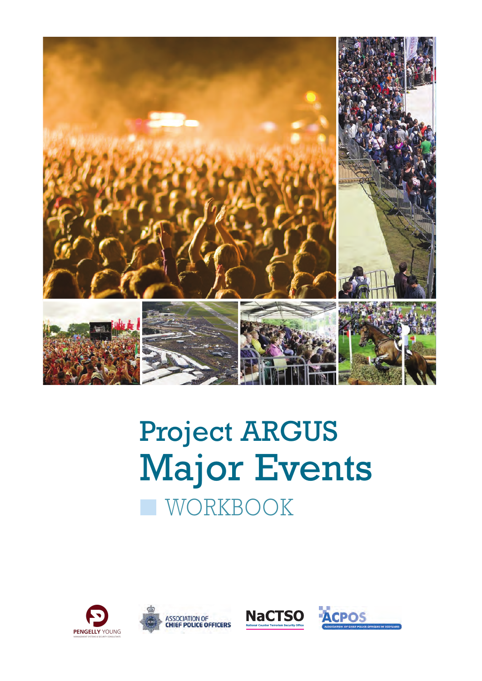

# Project ARGUS Major Events WORKBOOK







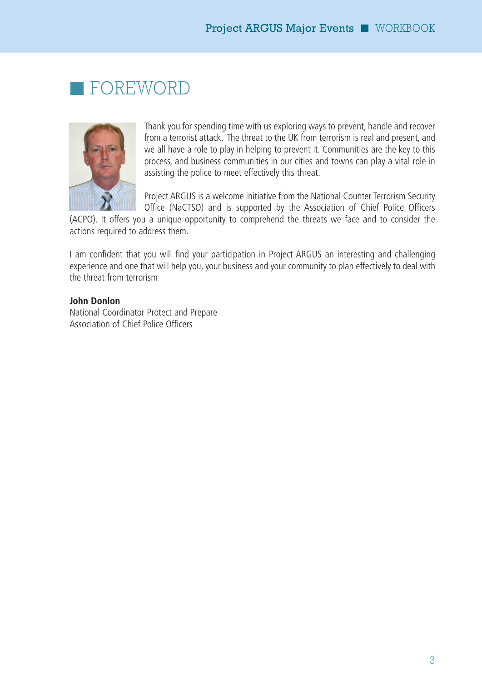## FOREWORD



Thank you for spending time with us exploring ways to prevent, handle and recover from a terrorist attack. The threat to the UK from terrorism is real and present, and we all have a role to play in helping to prevent it. Communities are the key to this process, and business communities in our cities and towns can play a vital role in assisting the police to meet effectively this threat.

Project ARGUS is a welcome initiative from the National Counter Terrorism Security Office (NaCTSO) and is supported by the Association of Chief Police Officers

(ACPO). It offers you a unique opportunity to comprehend the threats we face and to consider the actions required to address them.

I am confident that you will find your participation in Project ARGUS an interesting and challenging experience and one that will help you, your business and your community to plan effectively to deal with the threat from terrorism

#### **John Donlon**

National Coordinator Protect and Prepare Association of Chief Police Officers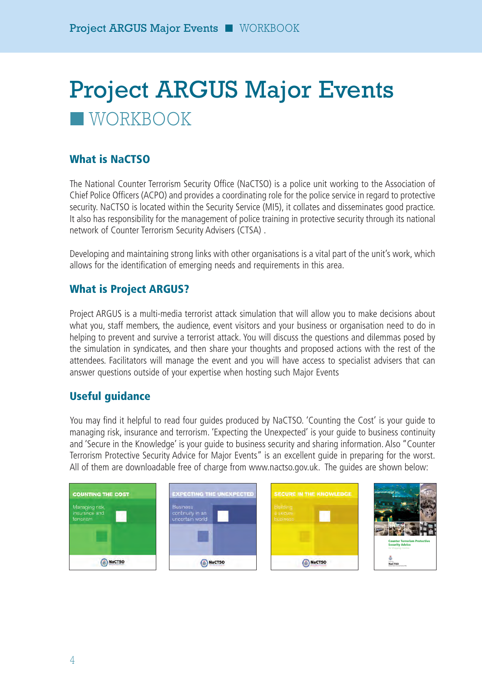## Project ARGUS Major Events WORKBOOK

#### **What is NaCTSO**

The National Counter Terrorism Security Office (NaCTSO) is a police unit working to the Association of Chief Police Officers (ACPO) and provides a coordinating role for the police service in regard to protective security. NaCTSO is located within the Security Service (MI5), it collates and disseminates good practice. It also has responsibility for the management of police training in protective security through its national network of Counter Terrorism Security Advisers (CTSA) .

Developing and maintaining strong links with other organisations is a vital part of the unit's work, which allows for the identification of emerging needs and requirements in this area.

#### **What is Project ARGUS?**

Project ARGUS is a multi-media terrorist attack simulation that will allow you to make decisions about what you, staff members, the audience, event visitors and your business or organisation need to do in helping to prevent and survive a terrorist attack. You will discuss the questions and dilemmas posed by the simulation in syndicates, and then share your thoughts and proposed actions with the rest of the attendees. Facilitators will manage the event and you will have access to specialist advisers that can answer questions outside of your expertise when hosting such Major Events

#### **Useful guidance**

You may find it helpful to read four guides produced by NaCTSO. 'Counting the Cost' is your guide to managing risk, insurance and terrorism. 'Expecting the Unexpected' is your guide to business continuity and 'Secure in the Knowledge' is your guide to business security and sharing information. Also "Counter Terrorism Protective Security Advice for Major Events" is an excellent guide in preparing for the worst. All of them are downloadable free of charge from www.nactso.gov.uk. The guides are shown below:

| <b>COUNTING THE COST</b>                     | <b>EXPECTING THE UNEXPECTED</b>                        | SECURE IN THE KNOWLEDGE           |                                                                                          |
|----------------------------------------------|--------------------------------------------------------|-----------------------------------|------------------------------------------------------------------------------------------|
| Managing risk,<br>insurance and<br>terrorism | <b>Business</b><br>continuity in an<br>uncertain world | Building<br>a secure.<br>business | <b>Counter Terrorism Protective</b><br><b>Security Advice</b>                            |
| <b>NaCTSO</b>                                | NaCTSO                                                 | NaCTSO                            | for Shopping Centres<br><b>NaCTSO</b><br><b>Rational Source: Terrorism Network White</b> |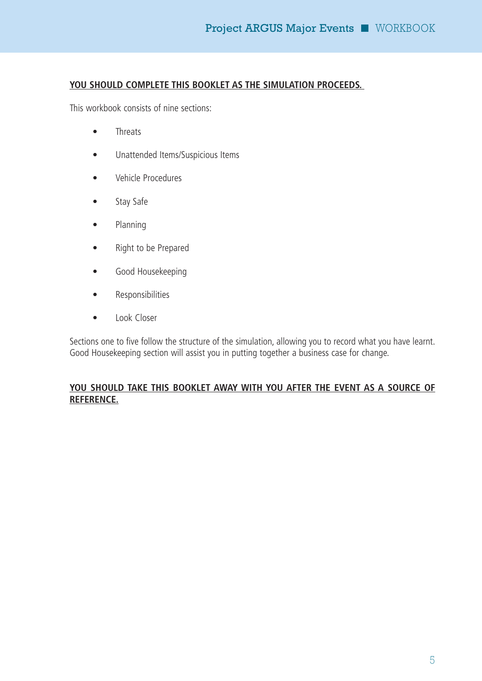#### **YOU SHOULD COMPLETE THIS BOOKLET AS THE SIMULATION PROCEEDS.**

This workbook consists of nine sections:

- Threats
- Unattended Items/Suspicious Items
- Vehicle Procedures
- Stay Safe
- Planning
- Right to be Prepared
- Good Housekeeping
- Responsibilities
- Look Closer

Sections one to five follow the structure of the simulation, allowing you to record what you have learnt. Good Housekeeping section will assist you in putting together a business case for change.

#### **YOU SHOULD TAKE THIS BOOKLET AWAY WITH YOU AFTER THE EVENT AS A SOURCE OF REFERENCE.**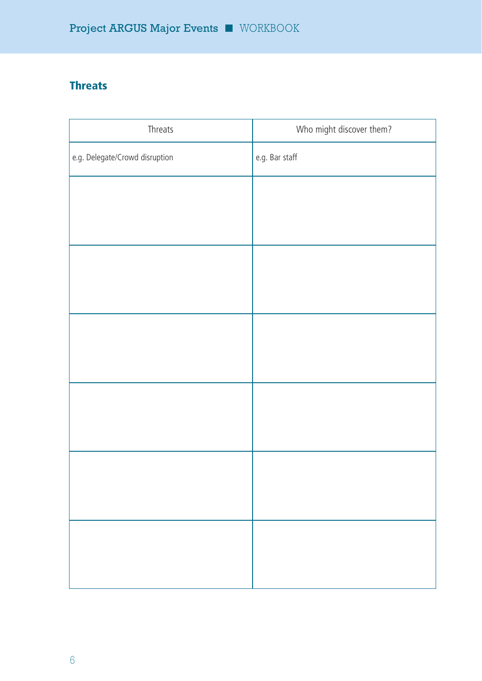## **Threats**

| Threats                        | Who might discover them? |
|--------------------------------|--------------------------|
| e.g. Delegate/Crowd disruption | e.g. Bar staff           |
|                                |                          |
|                                |                          |
|                                |                          |
|                                |                          |
|                                |                          |
|                                |                          |
|                                |                          |
|                                |                          |
|                                |                          |
|                                |                          |
|                                |                          |
|                                |                          |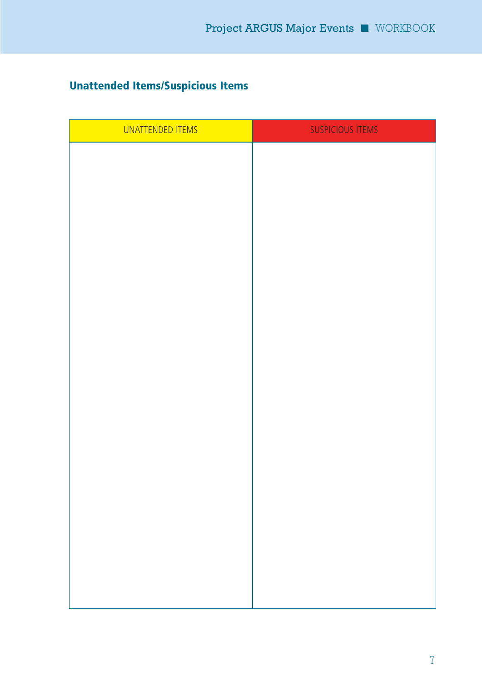## **Unattended Items/Suspicious Items**

| <b>UNATTENDED ITEMS</b> | <b>SUSPICIOUS ITEMS</b> |
|-------------------------|-------------------------|
|                         |                         |
|                         |                         |
|                         |                         |
|                         |                         |
|                         |                         |
|                         |                         |
|                         |                         |
|                         |                         |
|                         |                         |
|                         |                         |
|                         |                         |
|                         |                         |
|                         |                         |
|                         |                         |
|                         |                         |
|                         |                         |
|                         |                         |
|                         |                         |
|                         |                         |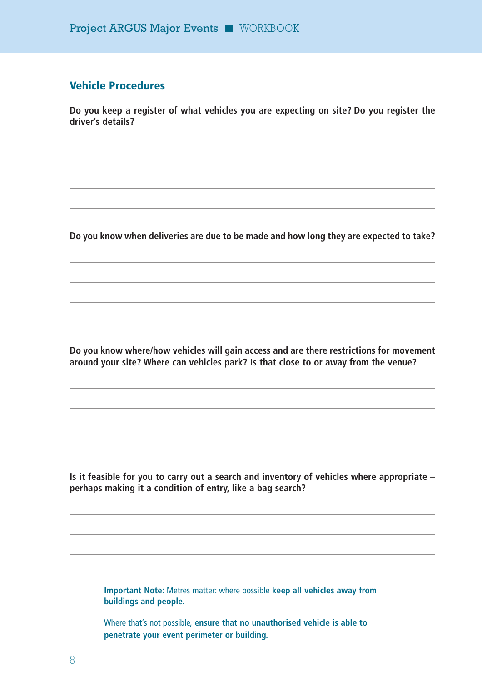#### **Vehicle Procedures**

**Do you keep a register of what vehicles you are expecting on site? Do you register the driver's details?**

**Do you know when deliveries are due to be made and how long they are expected to take?**

**Do you know where/how vehicles will gain access and are there restrictions for movement around your site? Where can vehicles park? Is that close to or away from the venue?** 

**Is it feasible for you to carry out a search and inventory of vehicles where appropriate – perhaps making it a condition of entry, like a bag search?**

**Important Note:** Metres matter: where possible **keep all vehicles away from buildings and people.**

Where that's not possible, **ensure that no unauthorised vehicle is able to penetrate your event perimeter or building.**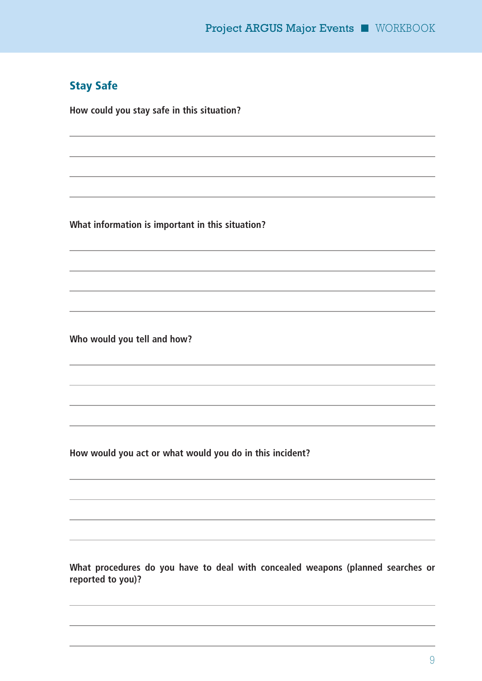#### **Stay Safe**

**How could you stay safe in this situation?**

**What information is important in this situation?**

**Who would you tell and how?**

**How would you act or what would you do in this incident?**

**What procedures do you have to deal with concealed weapons (planned searches or reported to you)?**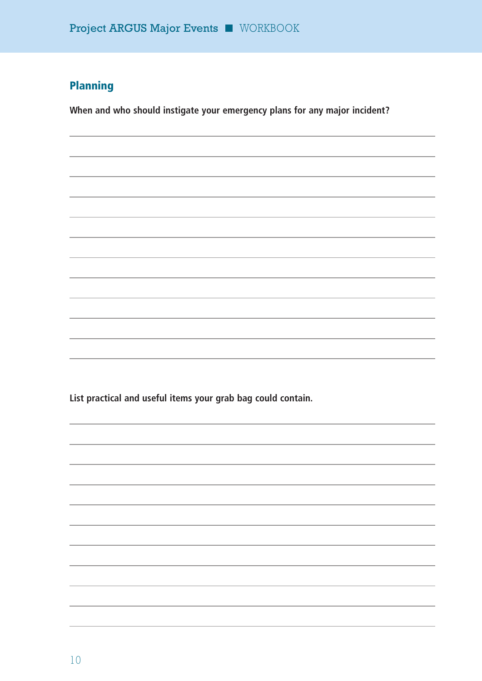## **Planning**

**When and who should instigate your emergency plans for any major incident?** 

**List practical and useful items your grab bag could contain.**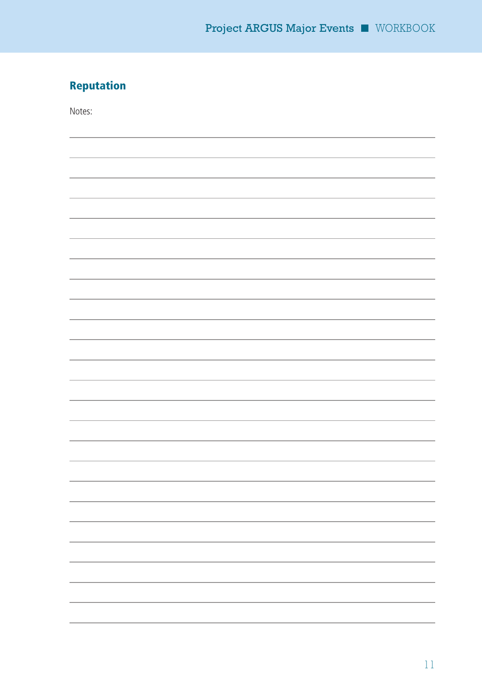## **Reputation**

Notes:

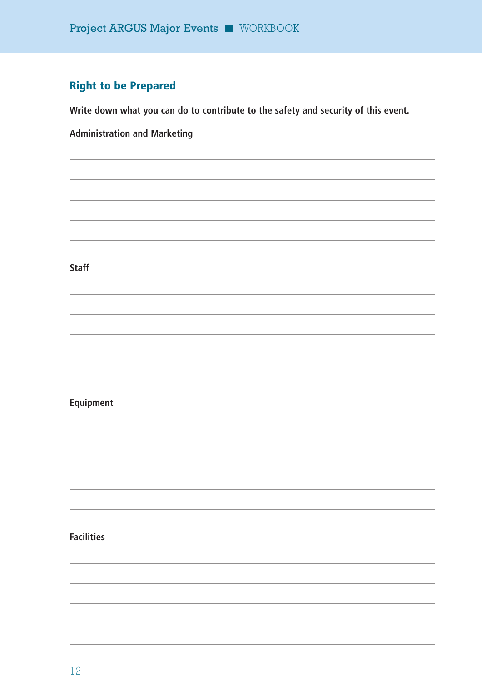### **Right to be Prepared**

**Write down what you can do to contribute to the safety and security of this event.**

**Administration and Marketing**

#### **Staff**

#### **Equipment**

#### **Facilities**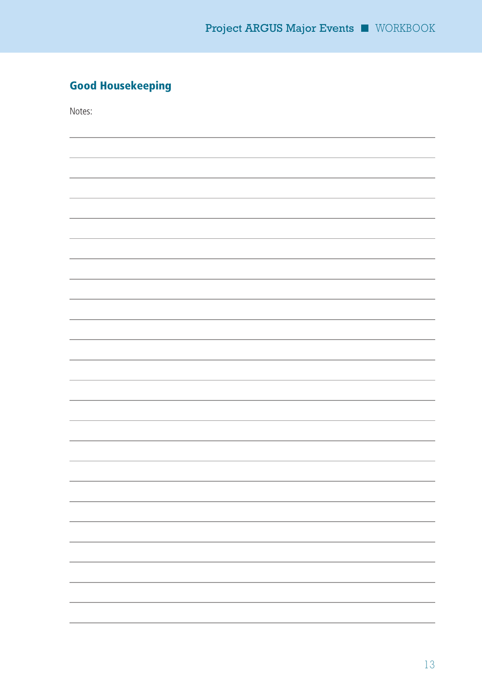## **Good Housekeeping**

Notes:

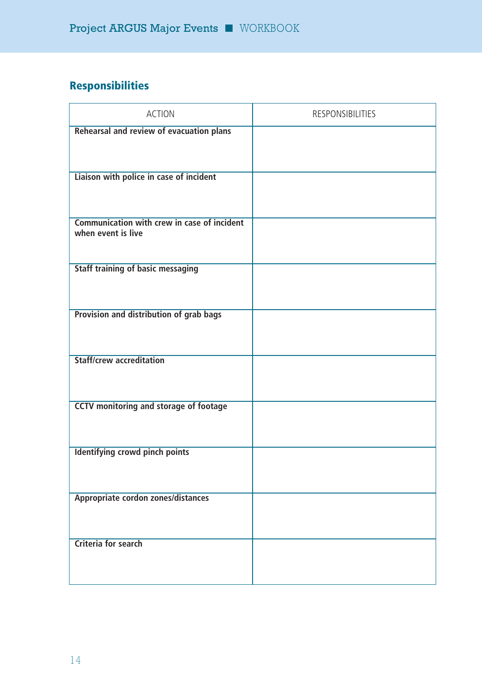## **Responsibilities**

| <b>ACTION</b>                                                            | <b>RESPONSIBILITIES</b> |
|--------------------------------------------------------------------------|-------------------------|
| Rehearsal and review of evacuation plans                                 |                         |
|                                                                          |                         |
| Liaison with police in case of incident                                  |                         |
|                                                                          |                         |
| <b>Communication with crew in case of incident</b><br>when event is live |                         |
| <b>Staff training of basic messaging</b>                                 |                         |
| Provision and distribution of grab bags                                  |                         |
| <b>Staff/crew accreditation</b>                                          |                         |
| <b>CCTV</b> monitoring and storage of footage                            |                         |
| <b>Identifying crowd pinch points</b>                                    |                         |
| Appropriate cordon zones/distances                                       |                         |
| <b>Criteria for search</b>                                               |                         |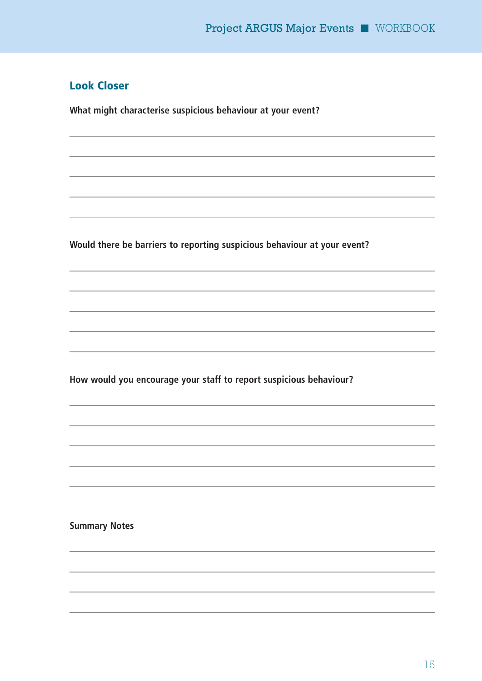#### **Look Closer**

**What might characterise suspicious behaviour at your event?**

**Would there be barriers to reporting suspicious behaviour at your event?**

**How would you encourage your staff to report suspicious behaviour?**

**Summary Notes**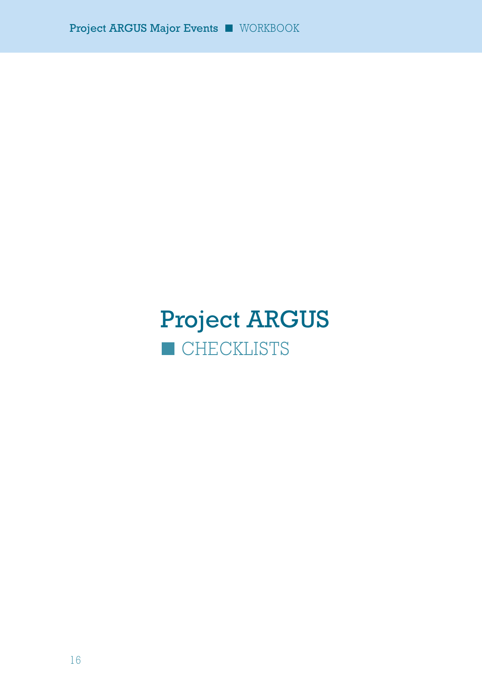## Project ARGUS **CHECKLISTS**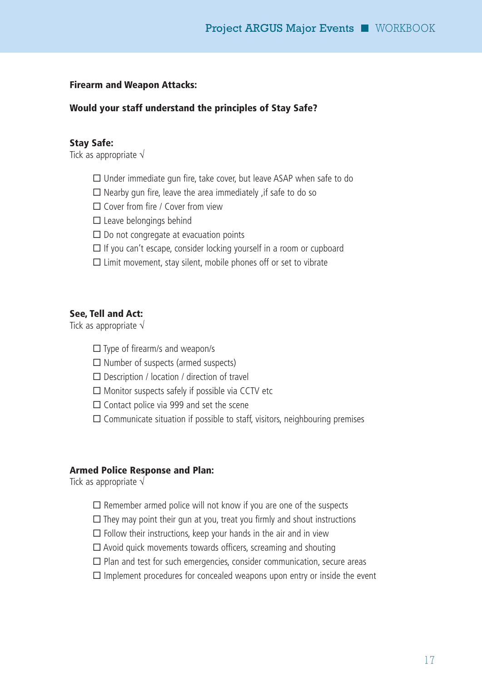#### **Firearm and Weapon Attacks:**

#### **Would your staff understand the principles of Stay Safe?**

#### **Stay Safe:**

Tick as appropriate  $\sqrt{ }$ 

- $\square$  Under immediate gun fire, take cover, but leave ASAP when safe to do
- $\square$  Nearby gun fire, leave the area immediately, if safe to do so
- $\square$  Cover from fire / Cover from view
- $\square$  Leave belongings behind
- $\square$  Do not congregate at evacuation points
- $\Box$  If you can't escape, consider locking yourself in a room or cupboard
- $\square$  Limit movement, stay silent, mobile phones off or set to vibrate

#### **See, Tell and Act:**

Tick as appropriate √

- $\square$  Type of firearm/s and weapon/s
- $\square$  Number of suspects (armed suspects)
- $\square$  Description / location / direction of travel
- $\square$  Monitor suspects safely if possible via CCTV etc
- $\square$  Contact police via 999 and set the scene
- $\square$  Communicate situation if possible to staff, visitors, neighbouring premises

#### **Armed Police Response and Plan:**

Tick as appropriate  $\sqrt{ }$ 

- $\square$  Remember armed police will not know if you are one of the suspects
- $\square$  They may point their gun at you, treat you firmly and shout instructions
- $\square$  Follow their instructions, keep your hands in the air and in view
- $\square$  Avoid quick movements towards officers, screaming and shouting
- $\square$  Plan and test for such emergencies, consider communication, secure areas
- $\square$  Implement procedures for concealed weapons upon entry or inside the event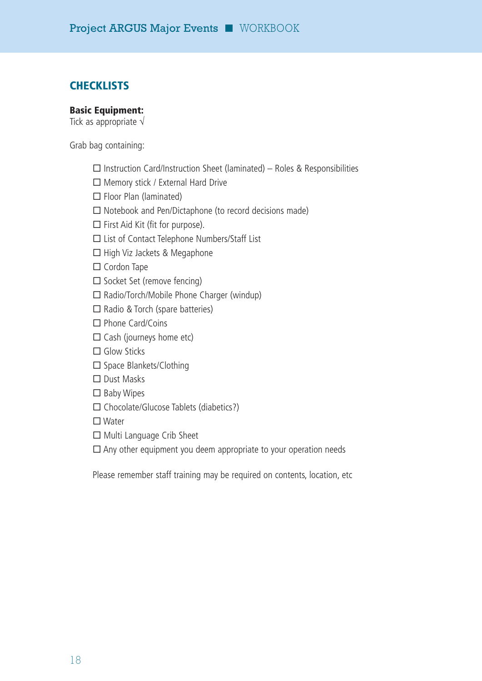#### **CHECKLISTS**

#### **Basic Equipment:**

Tick as appropriate √

Grab bag containing:

- $\square$  Instruction Card/Instruction Sheet (laminated) Roles & Responsibilities
- $\square$  Memory stick / External Hard Drive
- $\square$  Floor Plan (laminated)
- $\square$  Notebook and Pen/Dictaphone (to record decisions made)
- $\square$  First Aid Kit (fit for purpose).
- $\square$  List of Contact Telephone Numbers/Staff List
- □ High Viz Jackets & Megaphone
- $\square$  Cordon Tape
- $\square$  Socket Set (remove fencing)
- $\square$  Radio/Torch/Mobile Phone Charger (windup)
- $\square$  Radio & Torch (spare batteries)
- $\square$  Phone Card/Coins
- $\square$  Cash (journeys home etc)
- $\square$  Glow Sticks
- $\square$  Space Blankets/Clothing
- $\square$  Dust Masks
- $\square$  Baby Wipes
- $\square$  Chocolate/Glucose Tablets (diabetics?)
- $\square$  Water
- $\square$  Multi Language Crib Sheet
- $\square$  Any other equipment you deem appropriate to your operation needs

Please remember staff training may be required on contents, location, etc